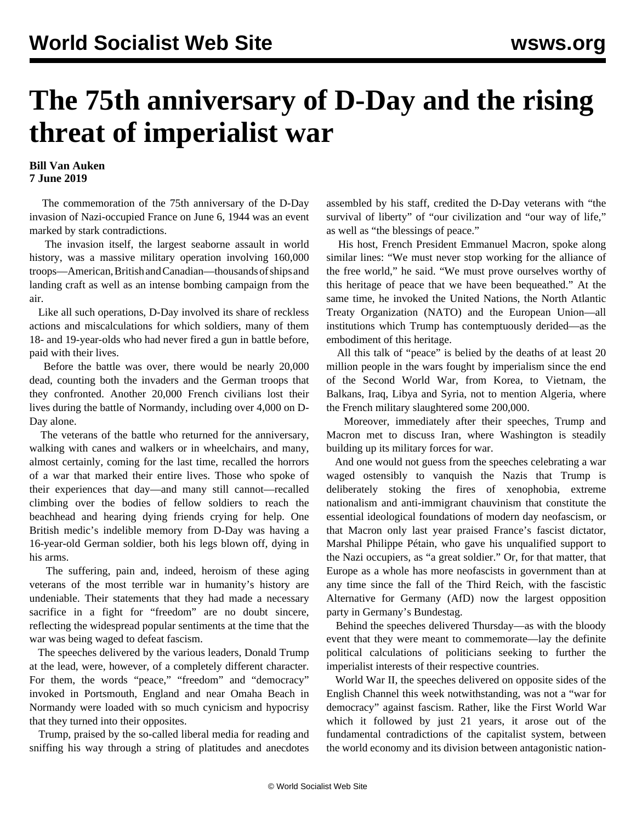## **The 75th anniversary of D-Day and the rising threat of imperialist war**

## **Bill Van Auken 7 June 2019**

 The commemoration of the 75th anniversary of the D-Day invasion of Nazi-occupied France on June 6, 1944 was an event marked by stark contradictions.

 The invasion itself, the largest seaborne assault in world history, was a massive military operation involving 160,000 troops—American, British and Canadian—thousands of ships and landing craft as well as an intense bombing campaign from the air.

 Like all such operations, D-Day involved its share of reckless actions and miscalculations for which soldiers, many of them 18- and 19-year-olds who had never fired a gun in battle before, paid with their lives.

 Before the battle was over, there would be nearly 20,000 dead, counting both the invaders and the German troops that they confronted. Another 20,000 French civilians lost their lives during the battle of Normandy, including over 4,000 on D-Day alone.

 The veterans of the battle who returned for the anniversary, walking with canes and walkers or in wheelchairs, and many, almost certainly, coming for the last time, recalled the horrors of a war that marked their entire lives. Those who spoke of their experiences that day—and many still cannot—recalled climbing over the bodies of fellow soldiers to reach the beachhead and hearing dying friends crying for help. One British medic's indelible memory from D-Day was having a 16-year-old German soldier, both his legs blown off, dying in his arms.

 The suffering, pain and, indeed, heroism of these aging veterans of the most terrible war in humanity's history are undeniable. Their statements that they had made a necessary sacrifice in a fight for "freedom" are no doubt sincere, reflecting the widespread popular sentiments at the time that the war was being waged to defeat fascism.

 The speeches delivered by the various leaders, Donald Trump at the lead, were, however, of a completely different character. For them, the words "peace," "freedom" and "democracy" invoked in Portsmouth, England and near Omaha Beach in Normandy were loaded with so much cynicism and hypocrisy that they turned into their opposites.

 Trump, praised by the so-called liberal media for reading and sniffing his way through a string of platitudes and anecdotes assembled by his staff, credited the D-Day veterans with "the survival of liberty" of "our civilization and "our way of life," as well as "the blessings of peace."

 His host, French President Emmanuel Macron, spoke along similar lines: "We must never stop working for the alliance of the free world," he said. "We must prove ourselves worthy of this heritage of peace that we have been bequeathed." At the same time, he invoked the United Nations, the North Atlantic Treaty Organization (NATO) and the European Union—all institutions which Trump has contemptuously derided—as the embodiment of this heritage.

 All this talk of "peace" is belied by the deaths of at least 20 million people in the wars fought by imperialism since the end of the Second World War, from Korea, to Vietnam, the Balkans, Iraq, Libya and Syria, not to mention Algeria, where the French military slaughtered some 200,000.

 Moreover, immediately after their speeches, Trump and Macron met to discuss Iran, where Washington is steadily building up its military forces for war.

 And one would not guess from the speeches celebrating a war waged ostensibly to vanquish the Nazis that Trump is deliberately stoking the fires of xenophobia, extreme nationalism and anti-immigrant chauvinism that constitute the essential ideological foundations of modern day neofascism, or that Macron only last year praised France's fascist dictator, Marshal Philippe Pétain, who gave his unqualified support to the Nazi occupiers, as "a great soldier." Or, for that matter, that Europe as a whole has more neofascists in government than at any time since the fall of the Third Reich, with the fascistic Alternative for Germany (AfD) now the largest opposition party in Germany's Bundestag.

 Behind the speeches delivered Thursday—as with the bloody event that they were meant to commemorate—lay the definite political calculations of politicians seeking to further the imperialist interests of their respective countries.

 World War II, the speeches delivered on opposite sides of the English Channel this week notwithstanding, was not a "war for democracy" against fascism. Rather, like the First World War which it followed by just 21 years, it arose out of the fundamental contradictions of the capitalist system, between the world economy and its division between antagonistic nation